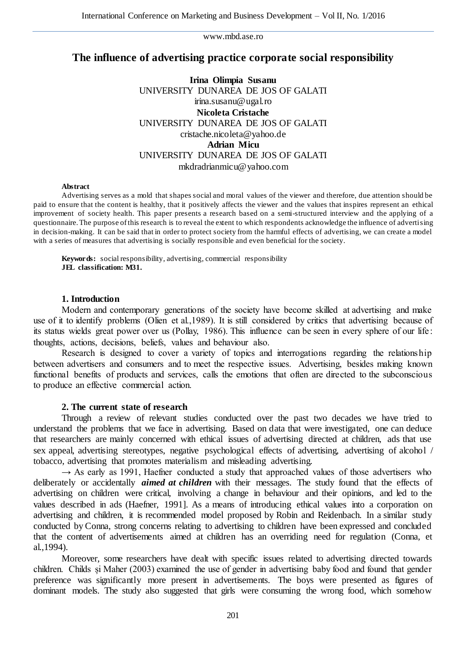# **The influence of advertising practice corporate social responsibility**

**Irina Olimpia Susanu** UNIVERSITY DUNAREA DE JOS OF GALATI irina.susanu@ugal.ro **Nicoleta Cristache** UNIVERSITY DUNAREA DE JOS OF GALATI cristache.nicoleta@yahoo.de **Adrian Micu** UNIVERSITY DUNAREA DE JOS OF GALATI mkdradrianmicu@yahoo.com

#### **Abstract**

Advertising serves as a mold that shapes social and moral values of the viewer and therefore, due attention should be paid to ensure that the content is healthy, that it positively affects the viewer and the values that inspires represent an ethical improvement of society health. This paper presents a research based on a semi-structured interview and the applying of a questionnaire. The purpose of this research is to reveal the extent to which respondents acknowledge the influence of advertising in decision-making. It can be said that in order to protect society from the harmful effects of advertising, we can create a model with a series of measures that advertising is socially responsible and even beneficial for the society.

**Keywords:** social responsibility, advertising, commercial responsibility **JEL classification: M31.**

### **1. Introduction**

Modern and contemporary generations of the society have become skilled at advertising and make use of it to identify problems (Olien et al.,1989). It is still considered by critics that advertising because of its status wields great power over us (Pollay, 1986). This influence can be seen in every sphere of our life: thoughts, actions, decisions, beliefs, values and behaviour also.

Research is designed to cover a variety of topics and interrogations regarding the relationship between advertisers and consumers and to meet the respective issues. Advertising, besides making known functional benefits of products and services, calls the emotions that often are directed to the subconscious to produce an effective commercial action.

### **2. The current state of research**

Through a review of relevant studies conducted over the past two decades we have tried to understand the problems that we face in advertising. Based on data that were investigated, one can deduce that researchers are mainly concerned with ethical issues of advertising directed at children, ads that use sex appeal, advertising stereotypes, negative psychological effects of advertising, advertising of alcohol / tobacco, advertising that promotes materialism and misleading advertising.

 $\rightarrow$  As early as 1991, Haefner conducted a study that approached values of those advertisers who deliberately or accidentally *aimed at children* with their messages. The study found that the effects of advertising on children were critical, involving a change in behaviour and their opinions, and led to the values described in ads (Haefner, 1991]. As a means of introducing ethical values into a corporation on advertising and children, it is recommended model proposed by Robin and Reidenbach. In a similar study conducted by Conna, strong concerns relating to advertising to children have been expressed and concluded that the content of advertisements aimed at children has an overriding need for regulation (Conna, et al.,1994).

Moreover, some researchers have dealt with specific issues related to advertising directed towards children. Childs și Maher (2003) examined the use of gender in advertising baby food and found that gender preference was significantly more present in advertisements. The boys were presented as figures of dominant models. The study also suggested that girls were consuming the wrong food, which somehow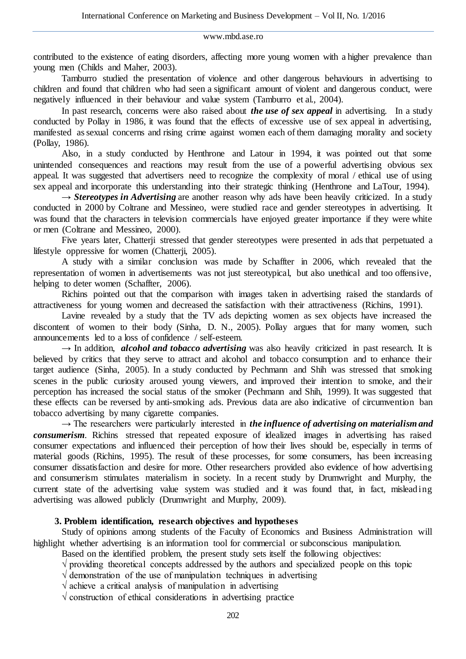contributed to the existence of eating disorders, affecting more young women with a higher prevalence than young men (Childs and Maher, 2003).

Tamburro studied the presentation of violence and other dangerous behaviours in advertising to children and found that children who had seen a significant amount of violent and dangerous conduct, were negatively influenced in their behaviour and value system (Tamburro et al., 2004).

In past research, concerns were also raised about *the use of sex appeal* in advertising. In a study conducted by Pollay in 1986, it was found that the effects of excessive use of sex appeal in advertising, manifested as sexual concerns and rising crime against women each of them damaging morality and society (Pollay, 1986).

Also, in a study conducted by Henthrone and Latour in 1994, it was pointed out that some unintended consequences and reactions may result from the use of a powerful advertising obvious sex appeal. It was suggested that advertisers need to recognize the complexity of moral / ethical use of using sex appeal and incorporate this understanding into their strategic thinking (Henthrone and LaTour, 1994).

 $\rightarrow$  *Stereotypes in Advertising* are another reason why ads have been heavily criticized. In a study conducted in 2000 by Coltrane and Messineo, were studied race and gender stereotypes in advertising. It was found that the characters in television commercials have enjoyed greater importance if they were white or men (Coltrane and Messineo, 2000).

Five years later, Chatterji stressed that gender stereotypes were presented in ads that perpetuated a lifestyle oppressive for women (Chatterji, 2005).

A study with a similar conclusion was made by Schaffter in 2006, which revealed that the representation of women in advertisements was not just stereotypical, but also unethical and too offensive, helping to deter women (Schaffter, 2006).

Richins pointed out that the comparison with images taken in advertising raised the standards of attractiveness for young women and decreased the satisfaction with their attractiveness (Richins, 1991).

Lavine revealed by a study that the TV ads depicting women as sex objects have increased the discontent of women to their body (Sinha, D. N., 2005). Pollay argues that for many women, such announcements led to a loss of confidence / self-esteem.

 $\rightarrow$  In addition, *alcohol and tobacco advertising* was also heavily criticized in past research. It is believed by critics that they serve to attract and alcohol and tobacco consumption and to enhance their target audience (Sinha, 2005). In a study conducted by Pechmann and Shih was stressed that smoking scenes in the public curiosity aroused young viewers, and improved their intention to smoke, and their perception has increased the social status of the smoker (Pechmann and Shih, 1999). It was suggested that these effects can be reversed by anti-smoking ads. Previous data are also indicative of circumvention ban tobacco advertising by many cigarette companies.

 $\rightarrow$  The researchers were particularly interested in *the influence of advertising on materialism and consumerism*. Richins stressed that repeated exposure of idealized images in advertising has raised consumer expectations and influenced their perception of how their lives should be, especially in terms of material goods (Richins, 1995). The result of these processes, for some consumers, has been increasing consumer dissatisfaction and desire for more. Other researchers provided also evidence of how advertising and consumerism stimulates materialism in society. In a recent study by Drumwright and Murphy, the current state of the advertising value system was studied and it was found that, in fact, misleading advertising was allowed publicly (Drumwright and Murphy, 2009).

# **3. Problem identification, research objectives and hypotheses**

Study of opinions among students of the Faculty of Economics and Business Administration will highlight whether advertising is an information tool for commercial or subconscious manipulation.

Based on the identified problem, the present study sets itself the following objectives:

 $\sqrt{p}$  providing theoretical concepts addressed by the authors and specialized people on this topic

- $\sqrt{ }$  demonstration of the use of manipulation techniques in advertising
- $\sqrt{\chi}$  achieve a critical analysis of manipulation in advertising

 $\sqrt{\frac{1}{\pi}}$  construction of ethical considerations in advertising practice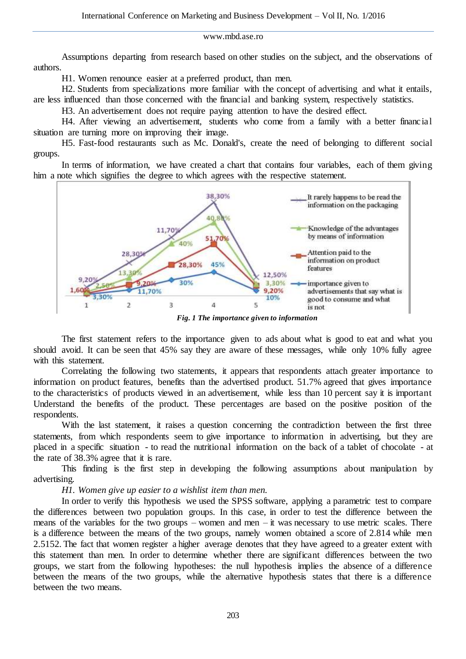Assumptions departing from research based on other studies on the subject, and the observations of authors.

H1. Women renounce easier at a preferred product, than men.

H2. Students from specializations more familiar with the concept of advertising and what it entails, are less influenced than those concerned with the financial and banking system, respectively statistics.

H3. An advertisement does not require paying attention to have the desired effect.

H4. After viewing an advertisement, students who come from a family with a better financial situation are turning more on improving their image.

H5. Fast-food restaurants such as Mc. Donald's, create the need of belonging to different social groups.

In terms of information, we have created a chart that contains four variables, each of them giving him a note which signifies the degree to which agrees with the respective statement.



*Fig. 1 The importance given to information*

The first statement refers to the importance given to ads about what is good to eat and what you should avoid. It can be seen that 45% say they are aware of these messages, while only 10% fully agree with this statement.

Correlating the following two statements, it appears that respondents attach greater importance to information on product features, benefits than the advertised product. 51.7% agreed that gives importance to the characteristics of products viewed in an advertisement, while less than 10 percent say it is important Understand the benefits of the product. These percentages are based on the positive position of the respondents.

With the last statement, it raises a question concerning the contradiction between the first three statements, from which respondents seem to give importance to information in advertising, but they are placed in a specific situation - to read the nutritional information on the back of a tablet of chocolate - at the rate of 38.3% agree that it is rare.

This finding is the first step in developing the following assumptions about manipulation by advertising.

*H1. Women give up easier to a wishlist item than men.* 

In order to verify this hypothesis we used the SPSS software, applying a parametric test to compare the differences between two population groups. In this case, in order to test the difference between the means of the variables for the two groups – women and men – it was necessary to use metric scales. There is a difference between the means of the two groups, namely women obtained a score of 2.814 while men 2.5152. The fact that women register a higher average denotes that they have agreed to a greater extent with this statement than men. In order to determine whether there are significant differences between the two groups, we start from the following hypotheses: the null hypothesis implies the absence of a difference between the means of the two groups, while the alternative hypothesis states that there is a difference between the two means.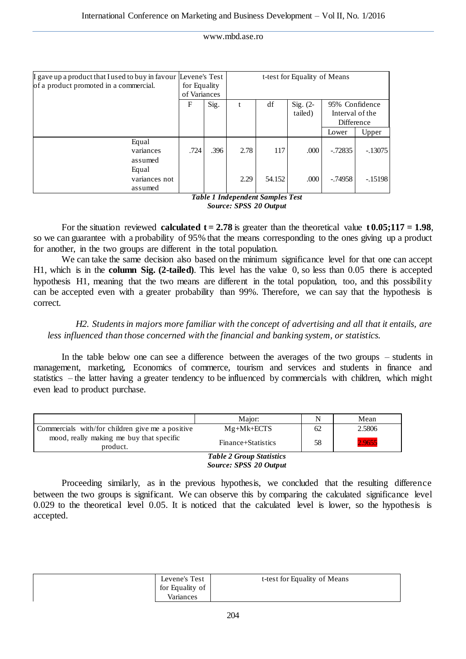| I gave up a product that I used to buy in favour Levene's Test<br>of a product promoted in a commercial. | for Equality<br>of Variances |      | t-test for Equality of Means |        |                       |                                                 |           |
|----------------------------------------------------------------------------------------------------------|------------------------------|------|------------------------------|--------|-----------------------|-------------------------------------------------|-----------|
|                                                                                                          | F                            | Sig. |                              | df     | Sig. $(2-$<br>tailed) | 95% Confidence<br>Interval of the<br>Difference |           |
|                                                                                                          |                              |      |                              |        |                       | Lower                                           | Upper     |
| Equal<br>variances<br>assumed                                                                            | .724                         | .396 | 2.78                         | 117    | .000                  | $-0.72835$                                      | $-.13075$ |
| Equal<br>variances not<br>assumed                                                                        |                              |      | 2.29                         | 54.152 | .000                  | $-0.74958$                                      | $-15198$  |

*Table 1 Independent Samples Test Source: SPSS 20 Output*

For the situation reviewed **calculated t** = 2.78 is greater than the theoretical value **t** 0.05;117 = 1.98, so we can guarantee with a probability of 95% that the means corresponding to the ones giving up a product for another, in the two groups are different in the total population.

We can take the same decision also based on the minimum significance level for that one can accept H1, which is in the **column Sig. (2-tailed)**. This level has the value 0, so less than 0.05 there is accepted hypothesis H1, meaning that the two means are different in the total population, too, and this possibility can be accepted even with a greater probability than 99%. Therefore, we can say that the hypothesis is correct.

# *H2. Students in majors more familiar with the concept of advertising and all that it entails, are less influenced than those concerned with the financial and banking system, or statistics.*

In the table below one can see a difference between the averages of the two groups – students in management, marketing, Economics of commerce, tourism and services and students in finance and statistics – the latter having a greater tendency to be influenced by commercials with children, which might even lead to product purchase.

|                                                      | Major:                   | N  | Mean   |
|------------------------------------------------------|--------------------------|----|--------|
| Commercials with/for children give me a positive     | $Mg+Mk+ECTS$             | 62 | 2.5806 |
| mood, really making me buy that specific<br>product. | Finance+Statistics       | 58 | 2.9655 |
|                                                      | Table 2 Crown Statistics |    |        |

*Table 2 Group Statistics Source: SPSS 20 Output*

Proceeding similarly, as in the previous hypothesis, we concluded that the resulting difference between the two groups is significant. We can observe this by comparing the calculated significance level 0.029 to the theoretical level 0.05. It is noticed that the calculated level is lower, so the hypothesis is accepted.

|  | Levene's Test<br>for Equality of<br>Variances | t-test for Equality of Means |
|--|-----------------------------------------------|------------------------------|
|--|-----------------------------------------------|------------------------------|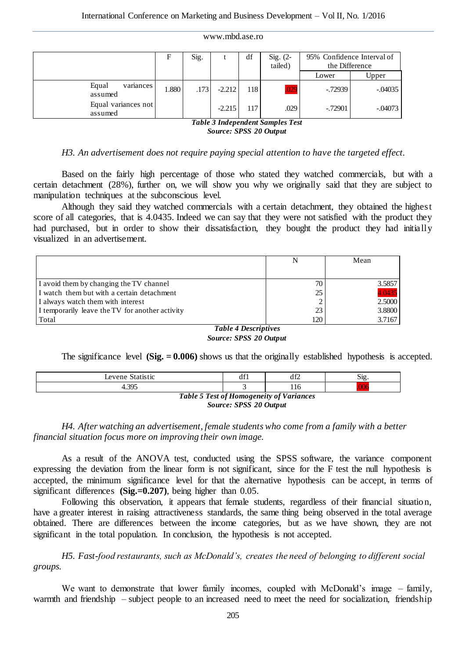|                                | F     | Sig.        |          | df             | $Sig. (2-$   | 95% Confidence Interval of |           |
|--------------------------------|-------|-------------|----------|----------------|--------------|----------------------------|-----------|
|                                |       |             |          |                | tailed)      | the Difference             |           |
|                                |       |             |          |                |              | Lower                      | Upper     |
| Equal<br>variances<br>assumed  | 1.880 | .173        | $-2.212$ | 118            | .029         | $-0.72939$                 | $-.04035$ |
| Equal variances not<br>assumed |       |             | $-2.215$ | 117            | .029         | $-.72901$                  | $-.04073$ |
|                                |       | $\sim \sim$ | 27       | $\cdot$ $\sim$ | $\mathbf{r}$ |                            |           |

*Table 3 Independent Samples Test Source: SPSS 20 Output*

## *H3. An advertisement does not require paying special attention to have the targeted effect.*

Based on the fairly high percentage of those who stated they watched commercials, but with a certain detachment (28%), further on, we will show you why we originally said that they are subject to manipulation techniques at the subconscious level.

Although they said they watched commercials with a certain detachment, they obtained the highest score of all categories, that is 4.0435. Indeed we can say that they were not satisfied with the product they had purchased, but in order to show their dissatisfaction, they bought the product they had initially visualized in an advertisement.

|                                                 |     | Mean   |
|-------------------------------------------------|-----|--------|
|                                                 |     |        |
| I avoid them by changing the TV channel         | 70  | 3.5857 |
| I watch them but with a certain detachment      | 25  | 4.0435 |
| I always watch them with interest               |     | 2.5000 |
| I temporarily leave the TV for another activity | 23  | 3.8800 |
| Total                                           | 120 | 3.7167 |

*Table 4 Descriptives Source: SPSS 20 Output*

The significance level **(Sig. = 0.006)** shows us that the originally established hypothesis is accepted.

| Levene Statistic                                | df1 | df2 | $\mathrm{Sig}$ |  |
|-------------------------------------------------|-----|-----|----------------|--|
| 4.395                                           |     | 116 |                |  |
| <b>Table 5 Test of Homogeneity of Variances</b> |     |     |                |  |
| Source: SPSS 20 Output                          |     |     |                |  |

*H4. After watching an advertisement, female students who come from a family with a better financial situation focus more on improving their own image.*

As a result of the ANOVA test, conducted using the SPSS software, the variance component expressing the deviation from the linear form is not significant, since for the F test the null hypothesis is accepted, the minimum significance level for that the alternative hypothesis can be accept, in terms of significant differences **(Sig.=0.207)**, being higher than 0.05.

Following this observation, it appears that female students, regardless of their financial situation, have a greater interest in raising attractiveness standards, the same thing being observed in the total average obtained. There are differences between the income categories, but as we have shown, they are not significant in the total population. In conclusion, the hypothesis is not accepted.

*H5. Fast-food restaurants, such as McDonald's, creates the need of belonging to different social groups.*

We want to demonstrate that lower family incomes, coupled with McDonald's image – family, warmth and friendship – subject people to an increased need to meet the need for socialization, friendship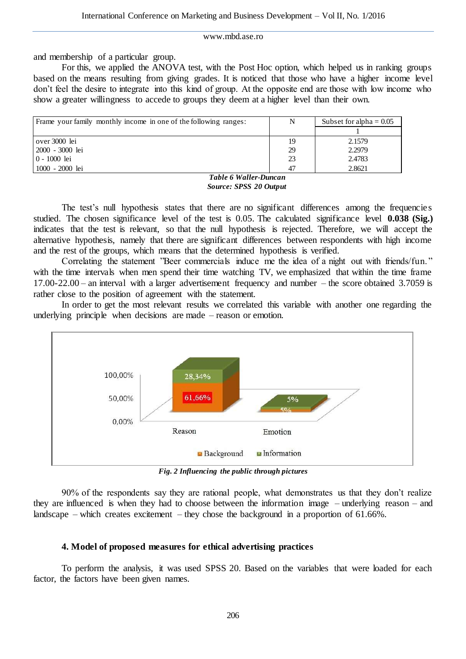and membership of a particular group.

For this, we applied the ANOVA test, with the Post Hoc option, which helped us in ranking groups based on the means resulting from giving grades. It is noticed that those who have a higher income level don't feel the desire to integrate into this kind of group. At the opposite end are those with low income who show a greater willingness to accede to groups they deem at a higher level than their own.

| Frame your family monthly income in one of the following ranges: | N  | Subset for alpha = $0.05$ |  |
|------------------------------------------------------------------|----|---------------------------|--|
|                                                                  |    |                           |  |
| over 3000 lei                                                    | 19 | 2.1579                    |  |
| 2000 - 3000 lei                                                  | 29 | 2.2979                    |  |
| $0 - 1000$ lei                                                   | 23 | 2.4783                    |  |
| 1000 - 2000 lei                                                  | 47 | 2.8621                    |  |
| $T = T$<br>$\sim$                                                |    |                           |  |

*Table 6 Waller-Duncan Source: SPSS 20 Output*

The test's null hypothesis states that there are no significant differences among the frequencies studied. The chosen significance level of the test is 0.05. The calculated significance level **0.038 (Sig.)** indicates that the test is relevant, so that the null hypothesis is rejected. Therefore, we will accept the alternative hypothesis, namely that there are significant differences between respondents with high income and the rest of the groups, which means that the determined hypothesis is verified.

Correlating the statement "Beer commercials induce me the idea of a night out with friends/fun." with the time intervals when men spend their time watching TV, we emphasized that within the time frame 17.00-22.00 – an interval with a larger advertisement frequency and number – the score obtained 3.7059 is rather close to the position of agreement with the statement.

In order to get the most relevant results we correlated this variable with another one regarding the underlying principle when decisions are made – reason or emotion.



*Fig. 2 Influencing the public through pictures*

90% of the respondents say they are rational people, what demonstrates us that they don't realize they are influenced is when they had to choose between the information image – underlying reason – and landscape – which creates excitement – they chose the background in a proportion of  $61.66\%$ .

## **4. Model of proposed measures for ethical advertising practices**

To perform the analysis, it was used SPSS 20. Based on the variables that were loaded for each factor, the factors have been given names.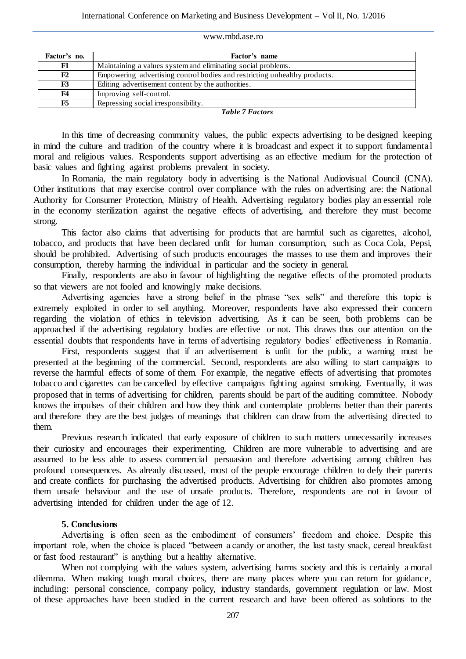| Factor's no. | Factor's name                                                             |
|--------------|---------------------------------------------------------------------------|
|              | Maintaining a values system and eliminating social problems.              |
|              | Empowering advertising control bodies and restricting unhealthy products. |
|              | Editing advertisement content by the authorities.                         |
| F4           | Improving self-control.                                                   |
| F5           | Repressing social irresponsibility.                                       |
|              | $T \cup T$                                                                |

#### *Table 7 Factors*

In this time of decreasing community values, the public expects advertising to be designed keeping in mind the culture and tradition of the country where it is broadcast and expect it to support fundamental moral and religious values. Respondents support advertising as an effective medium for the protection of basic values and fighting against problems prevalent in society.

In Romania, the main regulatory body in advertising is the National Audiovisual Council (CNA). Other institutions that may exercise control over compliance with the rules on advertising are: the National Authority for Consumer Protection, Ministry of Health. Advertising regulatory bodies play an essential role in the economy sterilization against the negative effects of advertising, and therefore they must become strong.

This factor also claims that advertising for products that are harmful such as cigarettes, alcohol, tobacco, and products that have been declared unfit for human consumption, such as Coca Cola, Pepsi, should be prohibited. Advertising of such products encourages the masses to use them and improves their consumption, thereby harming the individual in particular and the society in general.

Finally, respondents are also in favour of highlighting the negative effects of the promoted products so that viewers are not fooled and knowingly make decisions.

Advertising agencies have a strong belief in the phrase "sex sells" and therefore this topic is extremely exploited in order to sell anything. Moreover, respondents have also expressed their concern regarding the violation of ethics in television advertising. As it can be seen, both problems can be approached if the advertising regulatory bodies are effective or not. This draws thus our attention on the essential doubts that respondents have in terms of advertising regulatory bodies' effectiveness in Romania.

First, respondents suggest that if an advertisement is unfit for the public, a warning must be presented at the beginning of the commercial. Second, respondents are also willing to start campaigns to reverse the harmful effects of some of them. For example, the negative effects of advertising that promotes tobacco and cigarettes can be cancelled by effective campaigns fighting against smoking. Eventually, it was proposed that in terms of advertising for children, parents should be part of the auditing committee. Nobody knows the impulses of their children and how they think and contemplate problems better than their parents and therefore they are the best judges of meanings that children can draw from the advertising directed to them.

Previous research indicated that early exposure of children to such matters unnecessarily increases their curiosity and encourages their experimenting. Children are more vulnerable to advertising and are assumed to be less able to assess commercial persuasion and therefore advertising among children has profound consequences. As already discussed, most of the people encourage children to defy their parents and create conflicts for purchasing the advertised products. Advertising for children also promotes among them unsafe behaviour and the use of unsafe products. Therefore, respondents are not in favour of advertising intended for children under the age of 12.

## **5. Conclusions**

Advertising is often seen as the embodiment of consumers' freedom and choice. Despite this important role, when the choice is placed "between a candy or another, the last tasty snack, cereal breakfast or fast food restaurant" is anything but a healthy alternative.

When not complying with the values system, advertising harms society and this is certainly a moral dilemma. When making tough moral choices, there are many places where you can return for guidance, including: personal conscience, company policy, industry standards, government regulation or law. Most of these approaches have been studied in the current research and have been offered as solutions to the